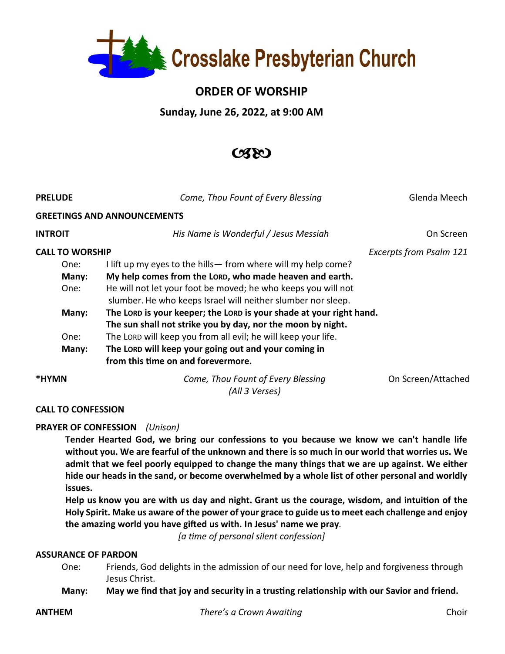

## **ORDER OF WORSHIP**

**Sunday, June 26, 2022, at 9:00 AM**

# **CSRO**

| <b>PRELUDE</b>         | Come, Thou Fount of Every Blessing                                                                                                 | Glenda Meech                   |  |
|------------------------|------------------------------------------------------------------------------------------------------------------------------------|--------------------------------|--|
|                        | <b>GREETINGS AND ANNOUNCEMENTS</b>                                                                                                 |                                |  |
| <b>INTROIT</b>         | His Name is Wonderful / Jesus Messiah                                                                                              | On Screen                      |  |
| <b>CALL TO WORSHIP</b> |                                                                                                                                    | <b>Excerpts from Psalm 121</b> |  |
| One:                   | I lift up my eyes to the hills— from where will my help come?                                                                      |                                |  |
| Many:                  | My help comes from the LORD, who made heaven and earth.                                                                            |                                |  |
| One:                   | He will not let your foot be moved; he who keeps you will not<br>slumber. He who keeps Israel will neither slumber nor sleep.      |                                |  |
| Many:                  | The LORD is your keeper; the LORD is your shade at your right hand.<br>The sun shall not strike you by day, nor the moon by night. |                                |  |
| One:                   | The LORD will keep you from all evil; he will keep your life.                                                                      |                                |  |
| Many:                  | The LORD will keep your going out and your coming in<br>from this time on and forevermore.                                         |                                |  |
| *HYMN                  | Come, Thou Fount of Every Blessing<br>(All 3 Verses)                                                                               | On Screen/Attached             |  |

### **CALL TO CONFESSION**

### **PRAYER OF CONFESSION** *(Unison)*

**Tender Hearted God, we bring our confessions to you because we know we can't handle life without you. We are fearful of the unknown and there is so much in our world that worries us. We admit that we feel poorly equipped to change the many things that we are up against. We either hide our heads in the sand, or become overwhelmed by a whole list of other personal and worldly issues.** 

**Help us know you are with us day and night. Grant us the courage, wisdom, and intuition of the Holy Spirit. Make us aware of the power of your grace to guide us to meet each challenge and enjoy the amazing world you have gifted us with. In Jesus' name we pray***.*

*[a time of personal silent confession]*

#### **ASSURANCE OF PARDON**

- One: Friends, God delights in the admission of our need for love, help and forgiveness through Jesus Christ.
- **Many: May we find that joy and security in a trusting relationship with our Savior and friend.**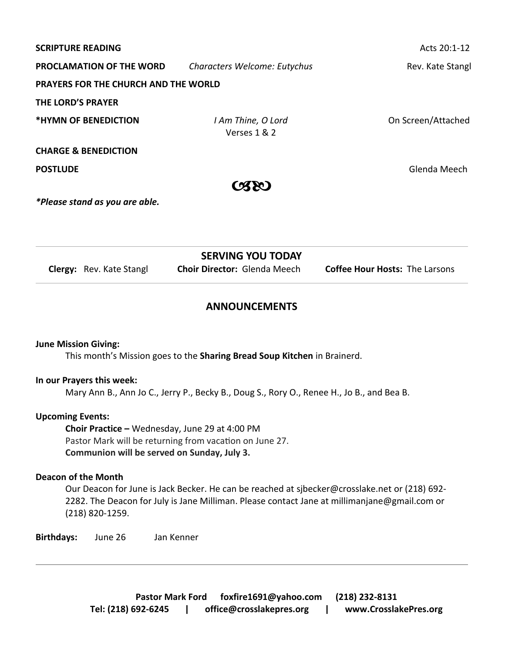| <b>SCRIPTURE READING</b>             |                                                                                           | Acts 20:1-12                          |  |  |
|--------------------------------------|-------------------------------------------------------------------------------------------|---------------------------------------|--|--|
| PROCLAMATION OF THE WORD             | Characters Welcome: Eutychus                                                              | Rev. Kate Stangl                      |  |  |
| PRAYERS FOR THE CHURCH AND THE WORLD |                                                                                           |                                       |  |  |
| THE LORD'S PRAYER                    |                                                                                           |                                       |  |  |
| *HYMN OF BENEDICTION                 | I Am Thine, O Lord<br>Verses 1 & 2                                                        | On Screen/Attached                    |  |  |
| <b>CHARGE &amp; BENEDICTION</b>      |                                                                                           |                                       |  |  |
| <b>POSTLUDE</b>                      |                                                                                           | Glenda Meech                          |  |  |
| <b>CXXO</b>                          |                                                                                           |                                       |  |  |
| *Please stand as you are able.       |                                                                                           |                                       |  |  |
| Clergy: Rev. Kate Stangl             | <b>SERVING YOU TODAY</b><br><b>Choir Director: Glenda Meech</b>                           | <b>Coffee Hour Hosts: The Larsons</b> |  |  |
| <b>ANNOUNCEMENTS</b>                 |                                                                                           |                                       |  |  |
| <b>June Mission Giving:</b>          | This month's Mission goes to the Sharing Bread Soup Kitchen in Brainerd.                  |                                       |  |  |
| In our Prayers this week:            | Mary Ann B., Ann Jo C., Jerry P., Becky B., Doug S., Rory O., Renee H., Jo B., and Bea B. |                                       |  |  |
| <b>Upcoming Events:</b>              |                                                                                           |                                       |  |  |

**Choir Practice –** Wednesday, June 29 at 4:00 PM Pastor Mark will be returning from vacation on June 27. **Communion will be served on Sunday, July 3.**

### **Deacon of the Month**

Our Deacon for June is Jack Becker. He can be reached at sjbecker@crosslake.net or (218) 692- 2282. The Deacon for July is Jane Milliman. Please contact Jane at millimanjane@gmail.com or (218) 820-1259.

**Birthdays:** June 26 Jan Kenner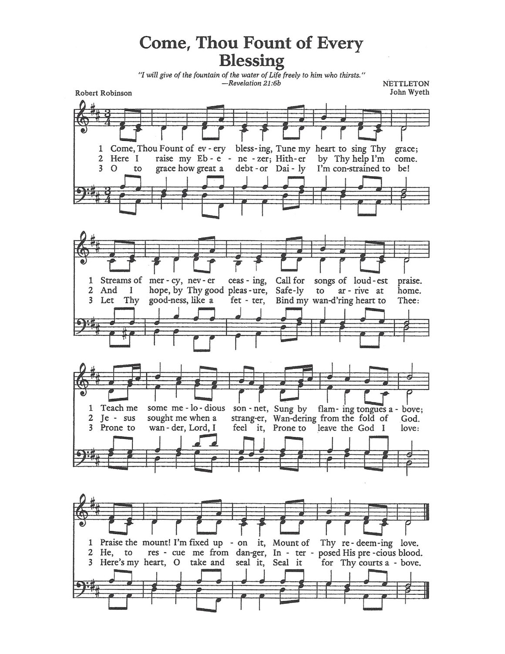